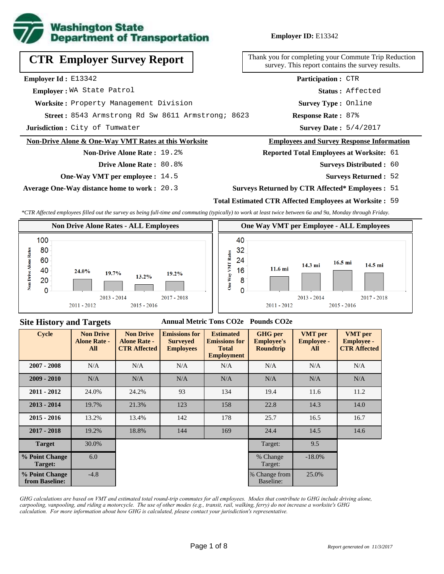

**Employer ID:** E13342

| <b>CTR Employer Survey Report</b>                    | Thank you for completing your Commute Trip Reductio<br>survey. This report contains the survey results. |  |  |  |  |  |
|------------------------------------------------------|---------------------------------------------------------------------------------------------------------|--|--|--|--|--|
| <b>Employer Id:</b> $E13342$                         | <b>Participation: CTR</b>                                                                               |  |  |  |  |  |
| Employer: WA State Patrol                            | Status: Affected                                                                                        |  |  |  |  |  |
| Worksite: Property Management Division               | <b>Survey Type: Online</b>                                                                              |  |  |  |  |  |
| Street: 8543 Armstrong Rd Sw 8611 Armstrong; 8623    | <b>Response Rate: 87%</b>                                                                               |  |  |  |  |  |
| Jurisdiction: City of Tumwater                       | <b>Survey Date: 5/4/2017</b>                                                                            |  |  |  |  |  |
| Non-Drive Alone & One-Way VMT Rates at this Worksite | <b>Employees and Survey Response Information</b>                                                        |  |  |  |  |  |
| <b>Non-Drive Alone Rate: 19.2%</b>                   | <b>Reported Total Employees at Worksite: 61</b>                                                         |  |  |  |  |  |
| <b>Drive Alone Rate: 80.8%</b>                       | <b>Surveys Distributed : 60</b>                                                                         |  |  |  |  |  |
| <b>One-Way VMT per employee : 14.5</b>               | <b>Surveys Returned : 52</b>                                                                            |  |  |  |  |  |

**Average One-Way distance home to work :** 20.3

#### **Surveys Returned by CTR Affected\* Employees :** 51

### **Total Estimated CTR Affected Employees at Worksite :** 59

*\*CTR Affected employees filled out the survey as being full-time and commuting (typically) to work at least twice between 6a and 9a, Monday through Friday.*



#### **Site History and Targets**

### **Annual Metric Tons CO2e Pounds CO2e**

| <b>Cycle</b>                     | <b>Non Drive</b><br><b>Alone Rate -</b><br>All | <b>Non Drive</b><br><b>Alone Rate -</b><br><b>CTR Affected</b> | <b>Emissions for</b><br><b>Surveyed</b><br><b>Employees</b> | <b>Estimated</b><br><b>Emissions for</b><br><b>Total</b><br><b>Employment</b> | <b>GHG</b> per<br><b>Employee's</b><br><b>Roundtrip</b> | <b>VMT</b> per<br><b>Employee -</b><br>All | <b>VMT</b> per<br><b>Employee -</b><br><b>CTR Affected</b> |
|----------------------------------|------------------------------------------------|----------------------------------------------------------------|-------------------------------------------------------------|-------------------------------------------------------------------------------|---------------------------------------------------------|--------------------------------------------|------------------------------------------------------------|
| $2007 - 2008$                    | N/A                                            | N/A                                                            | N/A                                                         | N/A                                                                           | N/A                                                     | N/A                                        | N/A                                                        |
| $2009 - 2010$                    | N/A                                            | N/A                                                            | N/A                                                         | N/A                                                                           | N/A                                                     | N/A                                        | N/A                                                        |
| $2011 - 2012$                    | 24.0%                                          | 24.2%                                                          | 93                                                          | 134                                                                           | 19.4                                                    | 11.6                                       | 11.2                                                       |
| $2013 - 2014$                    | 19.7%                                          | 21.3%                                                          | 123                                                         | 158                                                                           | 22.8                                                    | 14.3                                       | 14.0                                                       |
| $2015 - 2016$                    | 13.2%                                          | 13.4%                                                          | 142                                                         | 178                                                                           | 25.7                                                    | 16.5                                       | 16.7                                                       |
| $2017 - 2018$                    | 19.2%                                          | 18.8%                                                          | 144                                                         | 169                                                                           | 24.4                                                    | 14.5                                       | 14.6                                                       |
| <b>Target</b>                    | 30.0%                                          |                                                                |                                                             |                                                                               | Target:                                                 | 9.5                                        |                                                            |
| % Point Change<br>Target:        | 6.0                                            |                                                                |                                                             |                                                                               | % Change<br>Target:                                     | $-18.0%$                                   |                                                            |
| % Point Change<br>from Baseline: | $-4.8$                                         |                                                                |                                                             |                                                                               | % Change from<br>Baseline:                              | 25.0%                                      |                                                            |

*GHG calculations are based on VMT and estimated total round-trip commutes for all employees. Modes that contribute to GHG include driving alone, carpooling, vanpooling, and riding a motorcycle. The use of other modes (e.g., transit, rail, walking, ferry) do not increase a worksite's GHG calculation. For more information about how GHG is calculated, please contact your jurisdiction's representative.*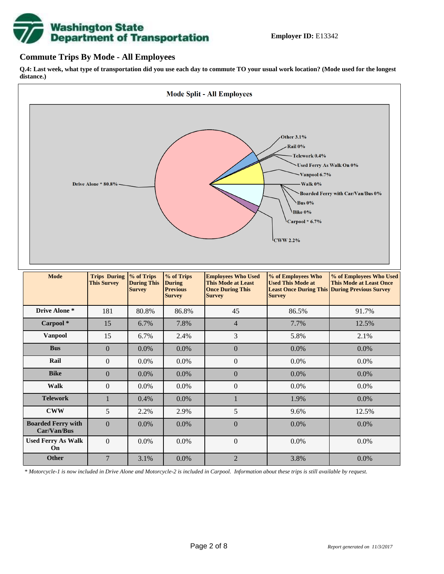

## **Commute Trips By Mode - All Employees**

**Q.4: Last week, what type of transportation did you use each day to commute TO your usual work location? (Mode used for the longest distance.)**



*\* Motorcycle-1 is now included in Drive Alone and Motorcycle-2 is included in Carpool. Information about these trips is still available by request.*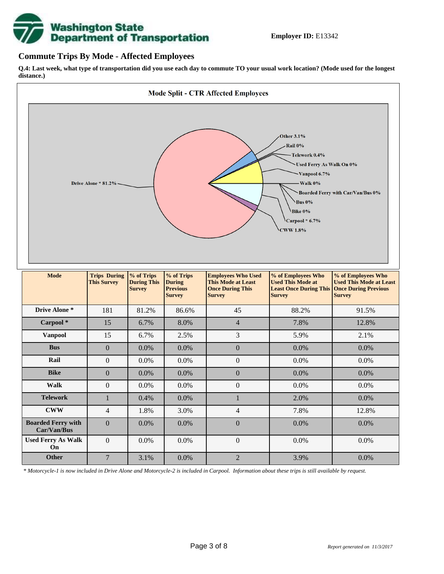

## **Commute Trips By Mode - Affected Employees**

**Q.4: Last week, what type of transportation did you use each day to commute TO your usual work location? (Mode used for the longest distance.)**



*\* Motorcycle-1 is now included in Drive Alone and Motorcycle-2 is included in Carpool. Information about these trips is still available by request.*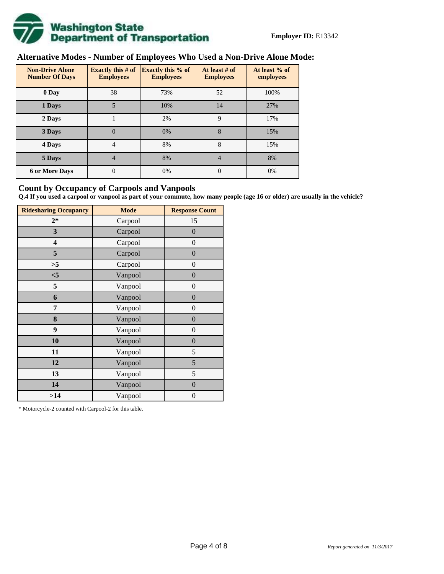

# **Alternative Modes - Number of Employees Who Used a Non-Drive Alone Mode:**

| <b>Non-Drive Alone</b><br><b>Number Of Days</b> | <b>Exactly this # of</b><br><b>Employees</b> | <b>Exactly this % of</b><br><b>Employees</b> | At least # of<br><b>Employees</b> | At least % of<br>employees |
|-------------------------------------------------|----------------------------------------------|----------------------------------------------|-----------------------------------|----------------------------|
| 0 Day                                           | 38                                           | 73%                                          | 52                                | 100%                       |
| 1 Days                                          | 5                                            | 10%                                          | 14                                | 27%                        |
| 2 Days                                          |                                              | 2%                                           | 9                                 | 17%                        |
| 3 Days                                          | $\overline{0}$                               | 0%                                           | 8                                 | 15%                        |
| 4 Days                                          | $\overline{4}$                               | 8%                                           | 8                                 | 15%                        |
| 5 Days                                          | 4                                            | 8%                                           | 4                                 | 8%                         |
| <b>6 or More Days</b>                           | $\theta$                                     | 0%                                           | $\Omega$                          | 0%                         |

## **Count by Occupancy of Carpools and Vanpools**

**Q.4 If you used a carpool or vanpool as part of your commute, how many people (age 16 or older) are usually in the vehicle?**

| <b>Ridesharing Occupancy</b> | <b>Mode</b> | <b>Response Count</b> |
|------------------------------|-------------|-----------------------|
| $2*$                         | Carpool     | 15                    |
| 3                            | Carpool     | $\boldsymbol{0}$      |
| 4                            | Carpool     | $\boldsymbol{0}$      |
| 5                            | Carpool     | $\boldsymbol{0}$      |
| >5                           | Carpool     | $\overline{0}$        |
| $<$ 5                        | Vanpool     | $\overline{0}$        |
| 5                            | Vanpool     | $\boldsymbol{0}$      |
| 6                            | Vanpool     | $\boldsymbol{0}$      |
| 7                            | Vanpool     | $\boldsymbol{0}$      |
| 8                            | Vanpool     | $\boldsymbol{0}$      |
| 9                            | Vanpool     | $\boldsymbol{0}$      |
| 10                           | Vanpool     | $\overline{0}$        |
| 11                           | Vanpool     | 5                     |
| 12                           | Vanpool     | 5                     |
| 13                           | Vanpool     | $\mathfrak s$         |
| 14                           | Vanpool     | $\boldsymbol{0}$      |
| >14                          | Vanpool     | $\boldsymbol{0}$      |

\* Motorcycle-2 counted with Carpool-2 for this table.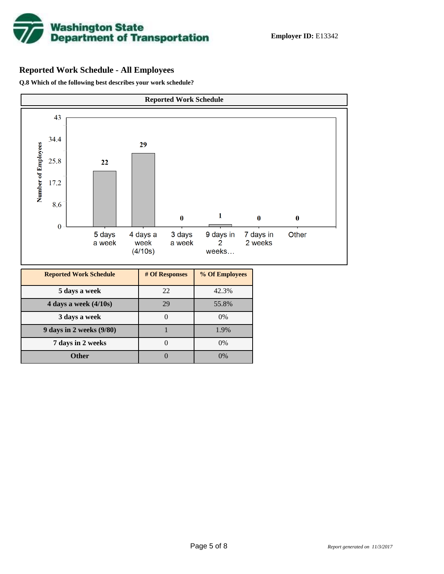

## **Reported Work Schedule - All Employees**

**Q.8 Which of the following best describes your work schedule?**

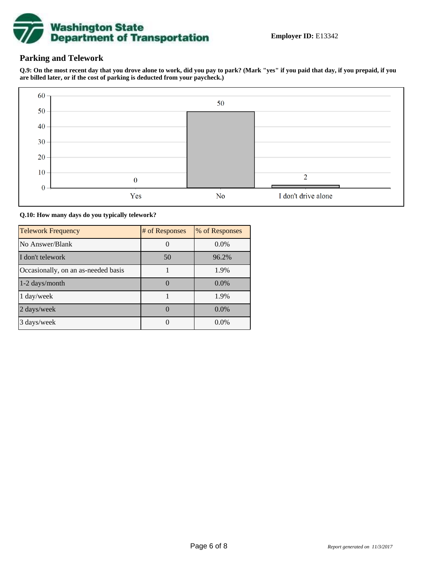

## **Parking and Telework**

**Q.9: On the most recent day that you drove alone to work, did you pay to park? (Mark "yes" if you paid that day, if you prepaid, if you are billed later, or if the cost of parking is deducted from your paycheck.)**



**Q.10: How many days do you typically telework?**

| <b>Telework Frequency</b>           | # of Responses | % of Responses |
|-------------------------------------|----------------|----------------|
| No Answer/Blank                     |                | $0.0\%$        |
| I don't telework                    | 50             | 96.2%          |
| Occasionally, on an as-needed basis |                | 1.9%           |
| 1-2 days/month                      |                | $0.0\%$        |
| 1 day/week                          |                | 1.9%           |
| 2 days/week                         |                | $0.0\%$        |
| 3 days/week                         |                | $0.0\%$        |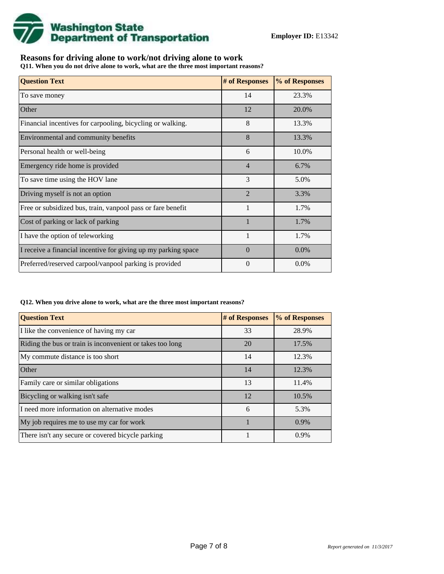

## **Reasons for driving alone to work/not driving alone to work**

**Q11. When you do not drive alone to work, what are the three most important reasons?**

| <b>Question Text</b>                                           | # of Responses | % of Responses |
|----------------------------------------------------------------|----------------|----------------|
| To save money                                                  | 14             | 23.3%          |
| Other                                                          | 12             | 20.0%          |
| Financial incentives for carpooling, bicycling or walking.     | 8              | 13.3%          |
| Environmental and community benefits                           | 8              | 13.3%          |
| Personal health or well-being                                  | 6              | 10.0%          |
| Emergency ride home is provided                                | $\overline{4}$ | 6.7%           |
| To save time using the HOV lane                                | 3              | 5.0%           |
| Driving myself is not an option                                | $\overline{2}$ | 3.3%           |
| Free or subsidized bus, train, vanpool pass or fare benefit    | $\mathbf{1}$   | 1.7%           |
| Cost of parking or lack of parking                             |                | 1.7%           |
| I have the option of teleworking                               |                | 1.7%           |
| I receive a financial incentive for giving up my parking space | $\Omega$       | $0.0\%$        |
| Preferred/reserved carpool/vanpool parking is provided         | $\theta$       | 0.0%           |

#### **Q12. When you drive alone to work, what are the three most important reasons?**

| <b>Question Text</b>                                      | # of Responses | % of Responses |
|-----------------------------------------------------------|----------------|----------------|
| I like the convenience of having my car                   | 33             | 28.9%          |
| Riding the bus or train is inconvenient or takes too long | 20             | 17.5%          |
| My commute distance is too short                          | 14             | 12.3%          |
| <b>Other</b>                                              | 14             | 12.3%          |
| Family care or similar obligations                        | 13             | 11.4%          |
| Bicycling or walking isn't safe                           | 12             | 10.5%          |
| I need more information on alternative modes              | 6              | 5.3%           |
| My job requires me to use my car for work                 |                | 0.9%           |
| There isn't any secure or covered bicycle parking         |                | 0.9%           |